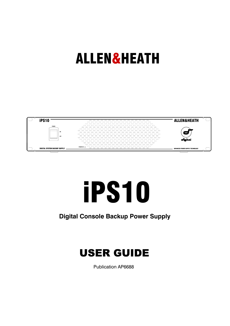## ALLEN&HEATH



# iPS10

## **Digital Console Backup Power Supply**

## USER GUIDE

Publication AP6688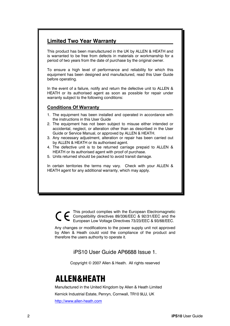#### **Limited Two Year Warranty**

This product has been manufactured in the UK by ALLEN & HEATH and is warranted to be free from defects in materials or workmanship for a period of two years from the date of purchase by the original owner.

To ensure a high level of performance and reliability for which this equipment has been designed and manufactured, read this User Guide before operating.

In the event of a failure, notify and return the defective unit to ALLEN & HEATH or its authorised agent as soon as possible for repair under warranty subject to the following conditions:

#### **Conditions Of Warranty**

- 1. The equipment has been installed and operated in accordance with the instructions in this User Guide
- 2. The equipment has not been subject to misuse either intended or accidental, neglect, or alteration other than as described in the User Guide or Service Manual, or approved by ALLEN & HEATH.
- 3. Any necessary adjustment, alteration or repair has been carried out by ALLEN & HEATH or its authorised agent.
- 4. The defective unit is to be returned carriage prepaid to ALLEN & HEATH or its authorised agent with proof of purchase.
- 5. Units returned should be packed to avoid transit damage.

In certain territories the terms may vary. Check with your ALLEN & HEATH agent for any additional warranty, which may apply.

> This product complies with the European Electromagnetic Compatibility directives 89/336/EEC & 92/31/EEC and the<br>European Law Voltage Directives 73/93/EEC & 92/31/EEC and the European Low Voltage Directives 73/23/EEC & 93/68/EEC.

Any changes or modifications to the power supply unit not approved by Allen & Heath could void the compliance of the product and therefore the users authority to operate it.

iPS10 User Guide AP6688 Issue 1.

Copyright © 2007 Allen & Heath. All rights reserved

## **ALLEN&HEATH**

Manufactured in the United Kingdom by Allen & Heath Limited Kernick Industrial Estate, Penryn, Cornwall, TR10 9LU, UK http://www.allen-heath.com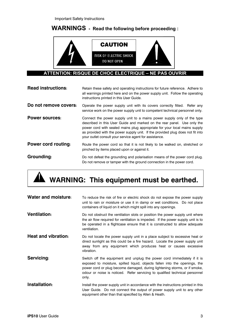Important Safety Instructions

## **WARNINGS - Read the following before proceeding :**



#### **ATTENTION: RISQUE DE CHOC ELECTRIQUE – NE PAS OUVRIR**

| <b>Read instructions:</b> | Retain these safety and operating instructions for future reference. Adhere to<br>all warnings printed here and on the power supply unit. Follow the operating<br>instructions printed in this User Guide.                                                                                                                                                                 |
|---------------------------|----------------------------------------------------------------------------------------------------------------------------------------------------------------------------------------------------------------------------------------------------------------------------------------------------------------------------------------------------------------------------|
| Do not remove covers:     | Operate the power supply unit with its covers correctly fitted. Refer any<br>service work on the power supply unit to competent technical personnel only.                                                                                                                                                                                                                  |
| <b>Power sources:</b>     | Connect the power supply unit to a mains power supply only of the type<br>described in this User Guide and marked on the rear panel. Use only the<br>power cord with sealed mains plug appropriate for your local mains supply<br>as provided with the power supply unit. If the provided plug does not fit into<br>your outlet consult your service agent for assistance. |
| Power cord routing:       | Route the power cord so that it is not likely to be walked on, stretched or<br>pinched by items placed upon or against it.                                                                                                                                                                                                                                                 |
| Grounding:                | Do not defeat the grounding and polarisation means of the power cord plug.<br>Do not remove or tamper with the ground connection in the power cord.                                                                                                                                                                                                                        |

## **WARNING: This equipment must be earthed.**

| <b>Water and moisture:</b> | To reduce the risk of fire or electric shock do not expose the power supply<br>unit to rain or moisture or use it in damp or wet conditions. Do not place<br>containers of liquid on it which might spill into any openings.                                                                                               |
|----------------------------|----------------------------------------------------------------------------------------------------------------------------------------------------------------------------------------------------------------------------------------------------------------------------------------------------------------------------|
| <b>Ventilation:</b>        | Do not obstruct the ventilation slots or position the power supply unit where<br>the air flow required for ventilation is impeded. If the power supply unit is to<br>be operated in a flightcase ensure that it is constructed to allow adequate<br>ventilation.                                                           |
| <b>Heat and vibration:</b> | Do not locate the power supply unit in a place subject to excessive heat or<br>direct sunlight as this could be a fire hazard. Locate the power supply unit<br>away from any equipment which produces heat or causes excessive<br>vibration.                                                                               |
| Servicing:                 | Switch off the equipment and unplug the power cord immediately if it is<br>exposed to moisture, spilled liquid, objects fallen into the openings, the<br>power cord or plug become damaged, during lightening storms, or if smoke,<br>odour or noise is noticed. Refer servicing to qualified technical personnel<br>only. |
| Installation:              | Install the power supply unit in accordance with the instructions printed in this<br>User Guide. Do not connect the output of power supply unit to any other<br>equipment other than that specified by Allen & Heath.                                                                                                      |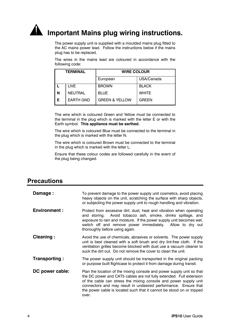**Important Mains plug wiring instructions.** 

The power supply unit is supplied with a moulded mains plug fitted to the AC mains power lead. Follow the instructions below if the mains plug has to be replaced.

The wires in the mains lead are coloured in accordance with the following code:

|   | <b>TERMINAL</b>  | <b>WIRE COLOUR</b>        |              |
|---|------------------|---------------------------|--------------|
|   |                  | European                  | USA/Canada   |
|   | LIVE             | <b>BROWN</b>              | <b>BLACK</b> |
| N | <b>NEUTRAL</b>   | <b>BLUE</b>               | <b>WHITE</b> |
| Е | <b>EARTH GND</b> | <b>GREEN &amp; YELLOW</b> | <b>GREEN</b> |

The wire which is coloured Green and Yellow must be connected to the terminal in the plug which is marked with the letter E or with the Earth symbol. **This appliance must be earthed.** 

The wire which is coloured Blue must be connected to the terminal in the plug which is marked with the letter N.

The wire which is coloured Brown must be connected to the terminal in the plug which is marked with the letter L.

Ensure that these colour codes are followed carefully in the event of the plug being changed.

#### **Precautions**

| Damage :            | To prevent damage to the power supply unit cosmetics, avoid placing<br>heavy objects on the unit, scratching the surface with sharp objects,<br>or subjecting the power supply unit to rough handling and vibration.                                                                                                                                                  |
|---------------------|-----------------------------------------------------------------------------------------------------------------------------------------------------------------------------------------------------------------------------------------------------------------------------------------------------------------------------------------------------------------------|
| <b>Environment:</b> | Protect from excessive dirt, dust, heat and vibration when operating<br>Avoid tobacco ash, smoke, drinks spillage, and<br>and storing.<br>exposure to rain and moisture. If the power supply unit becomes wet,<br>switch off and remove power immediately. Allow to dry out<br>thoroughly before using again.                                                         |
| Cleaning:           | Avoid the use of chemicals, abrasives or solvents. The power supply<br>unit is best cleaned with a soft brush and dry lint-free cloth. If the<br>ventilation grilles become blocked with dust use a vacuum cleaner to<br>suck the dirt out. Do not remove the cover to clean the unit.                                                                                |
| Transporting :      | The power supply unit should be transported in the original packing<br>or purpose built flightcase to protect it from damage during transit.                                                                                                                                                                                                                          |
| DC power cable:     | Plan the location of the mixing console and power supply unit so that<br>the DC power and CAT5 cables are not fully extended. Full extension<br>of the cable can stress the mixing console and power supply unit<br>connectors and may result in undesired performance. Ensure that<br>the power cable is located such that it cannot be stood on or tripped<br>over. |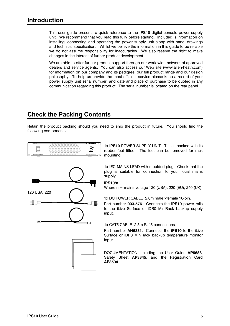This user guide presents a quick reference to the **iPS10** digital console power supply unit. We recommend that you read this fully before starting. Included is information on installing, connecting and operating the power supply unit along with panel drawings and technical specification. Whilst we believe the information in this guide to be reliable we do not assume responsibility for inaccuracies. We also reserve the right to make changes in the interest of further product development.

We are able to offer further product support through our worldwide network of approved dealers and service agents. You can also access our Web site (www.allen-heath.com) for information on our company and its pedigree, our full product range and our design philosophy. To help us provide the most efficient service please keep a record of your power supply unit serial number, and date and place of purchase to be quoted in any communication regarding this product. The serial number is located on the rear panel.

### **Check the Packing Contents**

Retain the product packing should you need to ship the product in future. You should find the following components:



1x **iPS10** POWER SUPPLY UNIT. This is packed with its rubber feet fitted. The feet can be removed for rack mounting.

1x IEC MAINS LEAD with moulded plug. Check that the plug is suitable for connection to your local mains supply.

**iPS10/n**

Where  $n =$  mains voltage 120 (USA), 220 (EU), 240 (UK)

1x DC POWER CABLE 2.8m male>female 10-pin.

Part number **003-576**. Connects the **iPS10** power rails to the iLive Surface or iDR0 MiniRack backup supply input.

1x CAT5 CABLE 2.8m RJ45 connections.

Part number **AH6831**. Connects the **iPS10** to the iLive Surface or iDR0 MiniRack backup temperature monitor input.

DOCUMENTATION including the User Guide **AP6688**, Safety Sheet **AP3345**, and the Registration Card **AP3594**.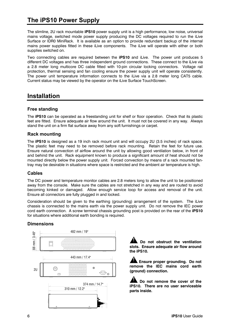## **The iPS10 Power Supply**

The slimline, 2U rack mountable **iPS10** power supply unit is a high performance, low noise, universal mains voltage, switched mode power supply producing the DC voltages required to run the iLive Surface or IDR0 MiniRack. It is available as an option to provide redundant backup of the internal mains power supplies fitted in these iLive components. The iLive will operate with either or both supplies switched on.

Two connecting cables are required between the **iPS10** and iLive. The power unit produces 5 different DC voltages and has three independent ground connections. These connect to the iLive via a 2.8 meter long multicore DC cable fitted with 10-pin circular locking connectors. Voltage rail protection, thermal sensing and fan cooling ensure the power supply unit will operate consistently. The power unit temperature information connects to the iLive via a 2.8 meter long CAT5 cable. Current status may be viewed by the operator on the iLive Surface TouchScreen.

#### **Installation**

#### **Free standing**

The **iPS10** can be operated as a freestanding unit for shelf or floor operation. Check that its plastic feet are fitted. Ensure adequate air flow around the unit. It must not be covered in any way. Always stand the unit on a firm flat surface away from any soft furnishings or carpet.

#### **Rack mounting**

The **iPS10** is designed as a 19 inch rack mount unit and will occupy 2U (3.5 inches) of rack space. The plastic feet may need to be removed before rack mounting. Retain the feet for future use. Ensure natural convection of airflow around the unit by allowing good ventilation below, in front of and behind the unit. Rack equipment known to produce a significant amount of heat should not be mounted directly below the power supply unit. Forced convection by means of a rack mounted fantray may be desirable in situations where space is restricted and the ambient air temperature is high.

#### **Cables**

The DC power and temperature monitor cables are 2.8 meters long to allow the unit to be positioned away from the console. Make sure the cables are not stretched in any way and are routed to avoid becoming kinked or damaged. Allow enough service loop for access and removal of the unit. Ensure all connectors are fully plugged in and locked.

Consideration should be given to the earthing (grounding) arrangement of the system. The iLive chassis is connected to the mains earth via the power supply unit. Do not remove the IEC power cord earth connection. A screw terminal chassis grounding post is provided on the rear of the **iPS10** for situations where additional earth bonding is required.

#### **Dimensions**



**Do not obstruct the ventilation slots. Ensure adequate air flow around the iPS10.** 

**Ensure proper grounding. Do not remove the IEC mains cord earth (ground) connection.** 

**Do not remove the cover of the iPS10. There are no user serviceable**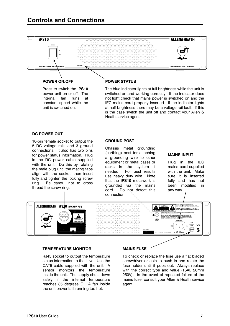## **Controls and Connections**



#### **POWER ON/OFF**

Press to switch the **iPS10** power unit on or off. The internal fan runs at constant speed while the unit is switched on.

#### **POWER STATUS**

The blue indicator lights at full brightness while the unit is switched on and working correctly. If the indicator does not light check that mains power is switched on and the IEC mains cord properly inserted. If the indicator lights at half brightness there may be a voltage rail fault. If this is the case switch the unit off and contact your Allen & Heath service agent.

#### **DC POWER OUT**

10-pin female socket to output the 5 DC voltage rails and 3 ground connections. It also has two pins for power status information. Plug in the DC power cable supplied with the unit. Do this by rotating the male plug until the mating tabs align with the socket, then insert fully and tighten the locking screw ring. Be careful not to cross thread the screw ring.

#### **GROUND POST**

Chassis metal grounding (earthing) post for attaching a grounding wire to other equipment or metal cases or racks in the system if needed. For best results use heavy duty wire. Note that the **iPS10** metalwork is grounded via the mains cord. Do not defeat this connection.

#### **MAINS INPUT**

Plug in the IEC mains cord supplied with the unit. Make sure it is inserted fully and has not been modified in any way.



#### **TEMPERATURE MONITOR**

RJ45 socket to output the temperature status information to the iLive. Use the CAT5 cable supplied with the unit. A sensor monitors the temperature inside the unit. The supply shuts down safely if the internal temperature reaches 85 degrees C. A fan inside the unit prevents it running too hot.

#### **MAINS FUSE**

To check or replace the fuse use a flat bladed screwdriver or coin to push in and rotate the fuse holder until it pops out. Always replace with the correct type and value (T5AL 20mm 250V). In the event of repeated failure of the mains fuse, consult your Allen & Heath service agent.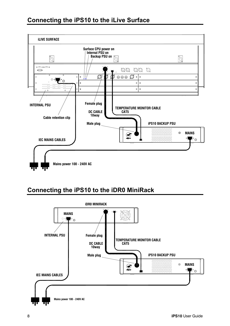

## **Connecting the iPS10 to the iDR0 MiniRack**

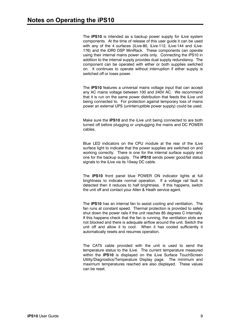The **iPS10** is intended as a backup power supply for iLive system components. At the time of release of this user guide it can be used with any of the 4 surfaces (iLive-80, iLive-112, iLive-144 and iLive-176) and the iDR0 DSP MiniRack. These components can operate using their internal mains power units only. Connecting the iPS10 in addition to the internal supply provides dual supply redundancy. The component can be operated with either or both supplies switched on. It continues to operate without interruption if either supply is switched off or loses power.

The **iPS10** features a universal mains voltage input that can accept any AC mains voltage between 100 and 240V AC. We recommend that it is run on the same power distribution that feeds the iLive unit being connected to. For protection against temporary loss of mains power an external UPS (uninterruptible power supply) could be used.

Make sure the **iPS10** and the iLive unit being connected to are both turned off before plugging or unplugging the mains and DC POWER cables.

Blue LED indicators on the CPU module at the rear of the iLive surface light to indicate that the power supplies are switched on and working correctly. There is one for the internal surface supply and one for the backup supply. The **iPS10** sends power good/fail status signals to the iLive via its 10way DC cable.

The **iPS10** front panel blue POWER ON indicator lights at full brightness to indicate normal operation. If a voltage rail fault is detected then it reduces to half brightness. If this happens, switch the unit off and contact your Allen & Heath service agent.

The **iPS10** has an internal fan to assist cooling and ventilation. The fan runs at constant speed. Thermal protection is provided to safely shut down the power rails if the unit reaches 85 degrees C internally. If this happens check that the fan is running, the ventilation slots are not blocked and there is adequate airflow around the unit. Switch the unit off and allow it to cool. When it has cooled sufficiently it automatically resets and resumes operation.

The CAT5 cable provided with the unit is used to send the temperature status to the iLive. The current temperature measured within the **iPS10** is displayed on the iLive Surface TouchScreen Utility/Diagnostics/Temperature Display page. The minimum and maximum temperatures reached are also displayed. These values can be reset.